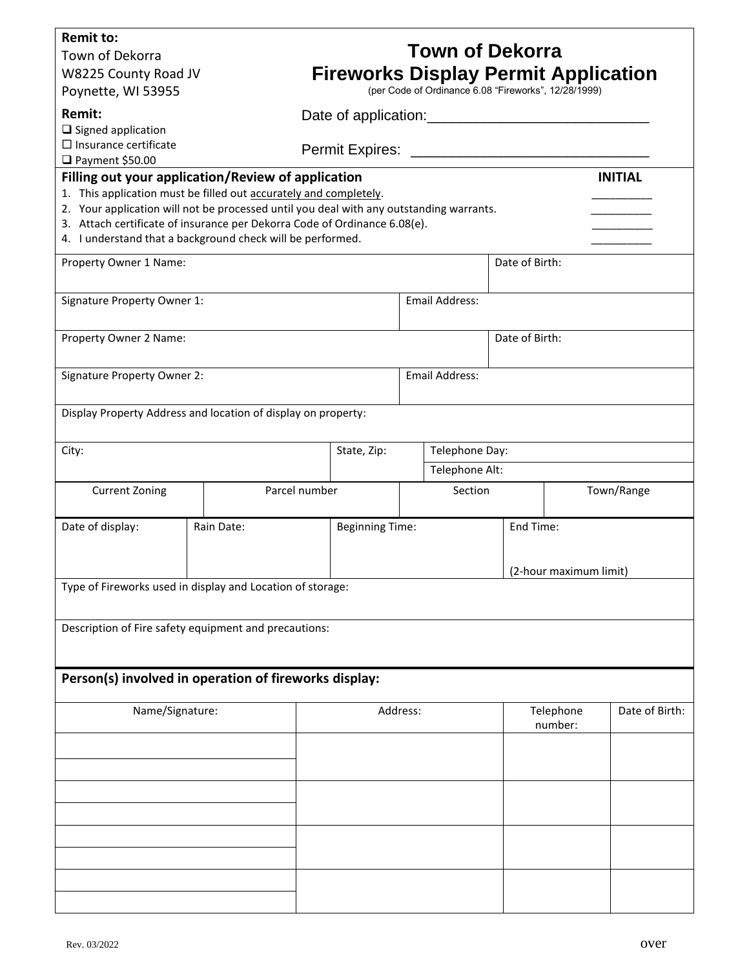| <b>Remit to:</b><br>Town of Dekorra<br>W8225 County Road JV<br>Poynette, WI 53955                                                                                                                                                                                                                                                                                                                    |                                                                                                    |                                           | <b>Town of Dekorra</b><br><b>Fireworks Display Permit Application</b><br>(per Code of Ordinance 6.08 "Fireworks", 12/28/1999) |                |                                     |                |  |  |
|------------------------------------------------------------------------------------------------------------------------------------------------------------------------------------------------------------------------------------------------------------------------------------------------------------------------------------------------------------------------------------------------------|----------------------------------------------------------------------------------------------------|-------------------------------------------|-------------------------------------------------------------------------------------------------------------------------------|----------------|-------------------------------------|----------------|--|--|
| Remit:<br>$\square$ Signed application<br>$\square$ Insurance certificate                                                                                                                                                                                                                                                                                                                            |                                                                                                    | Date of application: Date of application: |                                                                                                                               |                |                                     |                |  |  |
| □ Payment \$50.00<br>Filling out your application/Review of application<br><b>INITIAL</b><br>1. This application must be filled out accurately and completely.<br>2. Your application will not be processed until you deal with any outstanding warrants.<br>3. Attach certificate of insurance per Dekorra Code of Ordinance 6.08(e).<br>4. I understand that a background check will be performed. |                                                                                                    |                                           |                                                                                                                               |                |                                     |                |  |  |
| Property Owner 1 Name:                                                                                                                                                                                                                                                                                                                                                                               | Date of Birth:                                                                                     |                                           |                                                                                                                               |                |                                     |                |  |  |
| Signature Property Owner 1:                                                                                                                                                                                                                                                                                                                                                                          |                                                                                                    | Email Address:                            |                                                                                                                               |                |                                     |                |  |  |
| Property Owner 2 Name:                                                                                                                                                                                                                                                                                                                                                                               |                                                                                                    |                                           |                                                                                                                               | Date of Birth: |                                     |                |  |  |
| Signature Property Owner 2:                                                                                                                                                                                                                                                                                                                                                                          |                                                                                                    |                                           | <b>Email Address:</b>                                                                                                         |                |                                     |                |  |  |
| Display Property Address and location of display on property:                                                                                                                                                                                                                                                                                                                                        |                                                                                                    |                                           |                                                                                                                               |                |                                     |                |  |  |
| City:                                                                                                                                                                                                                                                                                                                                                                                                |                                                                                                    | State, Zip:                               | Telephone Day:<br>Telephone Alt:                                                                                              |                |                                     |                |  |  |
| <b>Current Zoning</b>                                                                                                                                                                                                                                                                                                                                                                                | Parcel number                                                                                      |                                           | Section                                                                                                                       |                | Town/Range                          |                |  |  |
| Date of display:                                                                                                                                                                                                                                                                                                                                                                                     | Rain Date:<br><b>Beginning Time:</b><br>Type of Fireworks used in display and Location of storage: |                                           |                                                                                                                               |                | End Time:<br>(2-hour maximum limit) |                |  |  |
| Description of Fire safety equipment and precautions:<br>Person(s) involved in operation of fireworks display:                                                                                                                                                                                                                                                                                       |                                                                                                    |                                           |                                                                                                                               |                |                                     |                |  |  |
| Name/Signature:                                                                                                                                                                                                                                                                                                                                                                                      |                                                                                                    | Address:                                  |                                                                                                                               |                | Telephone                           | Date of Birth: |  |  |
|                                                                                                                                                                                                                                                                                                                                                                                                      |                                                                                                    |                                           |                                                                                                                               |                | number:                             |                |  |  |
|                                                                                                                                                                                                                                                                                                                                                                                                      |                                                                                                    |                                           |                                                                                                                               |                |                                     |                |  |  |
|                                                                                                                                                                                                                                                                                                                                                                                                      |                                                                                                    |                                           |                                                                                                                               |                |                                     |                |  |  |
|                                                                                                                                                                                                                                                                                                                                                                                                      |                                                                                                    |                                           |                                                                                                                               |                |                                     |                |  |  |